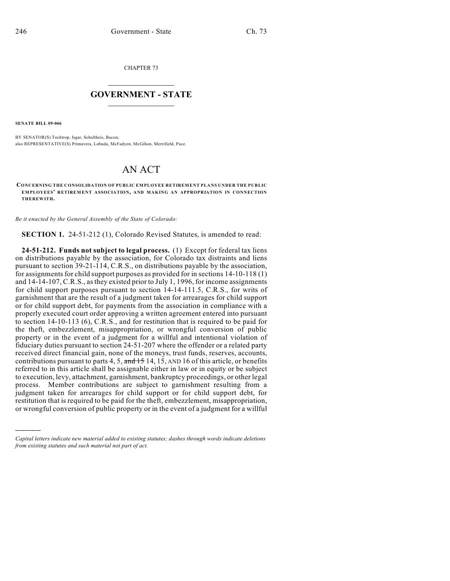CHAPTER 73

## $\overline{\phantom{a}}$  . The set of the set of the set of the set of the set of the set of the set of the set of the set of the set of the set of the set of the set of the set of the set of the set of the set of the set of the set o **GOVERNMENT - STATE**  $\_$

**SENATE BILL 09-066**

)))))

BY SENATOR(S) Tochtrop, Isgar, Schultheis, Bacon; also REPRESENTATIVE(S) Primavera, Labuda, McFadyen, McGihon, Merrifield, Pace.

## AN ACT

**CONCERNING THE CONSOLIDATION OF PUBLIC EMPLOYEE RETIREMENT PLANS UNDER THE PUBLIC EMPLOYEES' RETIREM ENT ASSOCIATION, AND MAKING AN APPROPRIATION IN CONNECTION THEREWITH.**

*Be it enacted by the General Assembly of the State of Colorado:*

**SECTION 1.** 24-51-212 (1), Colorado Revised Statutes, is amended to read:

**24-51-212. Funds not subject to legal process.** (1) Except for federal tax liens on distributions payable by the association, for Colorado tax distraints and liens pursuant to section 39-21-114, C.R.S., on distributions payable by the association, for assignments for child support purposes as provided for in sections 14-10-118 (1) and 14-14-107, C.R.S., as they existed prior to July 1, 1996, for income assignments for child support purposes pursuant to section 14-14-111.5, C.R.S., for writs of garnishment that are the result of a judgment taken for arrearages for child support or for child support debt, for payments from the association in compliance with a properly executed court order approving a written agreement entered into pursuant to section 14-10-113 (6), C.R.S., and for restitution that is required to be paid for the theft, embezzlement, misappropriation, or wrongful conversion of public property or in the event of a judgment for a willful and intentional violation of fiduciary duties pursuant to section 24-51-207 where the offender or a related party received direct financial gain, none of the moneys, trust funds, reserves, accounts, contributions pursuant to parts 4, 5, and 15 14, 15, AND 16 of this article, or benefits referred to in this article shall be assignable either in law or in equity or be subject to execution, levy, attachment, garnishment, bankruptcy proceedings, or other legal process. Member contributions are subject to garnishment resulting from a judgment taken for arrearages for child support or for child support debt, for restitution that is required to be paid for the theft, embezzlement, misappropriation, or wrongful conversion of public property or in the event of a judgment for a willful

*Capital letters indicate new material added to existing statutes; dashes through words indicate deletions from existing statutes and such material not part of act.*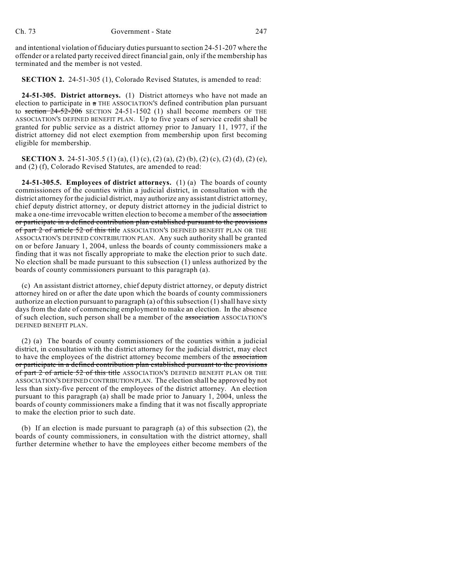and intentional violation of fiduciary duties pursuant to section 24-51-207 where the offender or a related party received direct financial gain, only if the membership has terminated and the member is not vested.

**SECTION 2.** 24-51-305 (1), Colorado Revised Statutes, is amended to read:

**24-51-305. District attorneys.** (1) District attorneys who have not made an election to participate in  $a$  THE ASSOCIATION'S defined contribution plan pursuant to section  $24-52-206$  SECTION 24-51-1502 (1) shall become members OF THE ASSOCIATION'S DEFINED BENEFIT PLAN. Up to five years of service credit shall be granted for public service as a district attorney prior to January 11, 1977, if the district attorney did not elect exemption from membership upon first becoming eligible for membership.

**SECTION 3.** 24-51-305.5 (1) (a), (1) (c), (2) (a), (2) (b), (2) (c), (2) (d), (2) (e), and (2) (f), Colorado Revised Statutes, are amended to read:

**24-51-305.5. Employees of district attorneys.** (1) (a) The boards of county commissioners of the counties within a judicial district, in consultation with the district attorney for the judicial district, may authorize any assistant district attorney, chief deputy district attorney, or deputy district attorney in the judicial district to make a one-time irrevocable written election to become a member of the association or participate in a defined contribution plan established pursuant to the provisions of part 2 of article 52 of this title ASSOCIATION'S DEFINED BENEFIT PLAN OR THE ASSOCIATION'S DEFINED CONTRIBUTION PLAN. Any such authority shall be granted on or before January 1, 2004, unless the boards of county commissioners make a finding that it was not fiscally appropriate to make the election prior to such date. No election shall be made pursuant to this subsection (1) unless authorized by the boards of county commissioners pursuant to this paragraph (a).

(c) An assistant district attorney, chief deputy district attorney, or deputy district attorney hired on or after the date upon which the boards of county commissioners authorize an election pursuant to paragraph (a) of this subsection (1) shall have sixty days from the date of commencing employment to make an election. In the absence of such election, such person shall be a member of the association ASSOCIATION'S DEFINED BENEFIT PLAN.

(2) (a) The boards of county commissioners of the counties within a judicial district, in consultation with the district attorney for the judicial district, may elect to have the employees of the district attorney become members of the association or participate in a defined contribution plan established pursuant to the provisions of part 2 of article 52 of this title ASSOCIATION'S DEFINED BENEFIT PLAN OR THE ASSOCIATION'S DEFINED CONTRIBUTION PLAN. The election shall be approved by not less than sixty-five percent of the employees of the district attorney. An election pursuant to this paragraph (a) shall be made prior to January 1, 2004, unless the boards of county commissioners make a finding that it was not fiscally appropriate to make the election prior to such date.

(b) If an election is made pursuant to paragraph (a) of this subsection (2), the boards of county commissioners, in consultation with the district attorney, shall further determine whether to have the employees either become members of the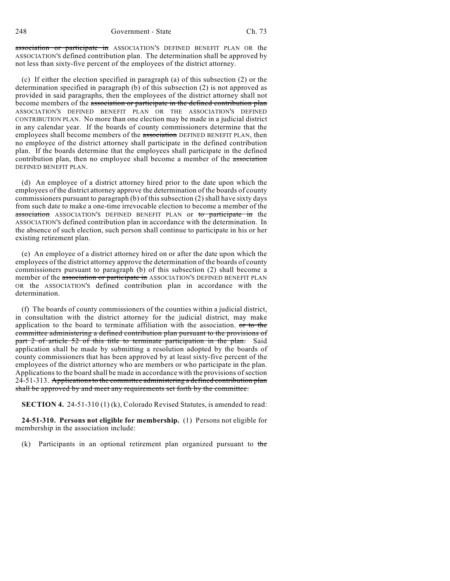248 Government - State Ch. 73

association or participate in ASSOCIATION'S DEFINED BENEFIT PLAN OR the ASSOCIATION'S defined contribution plan. The determination shall be approved by not less than sixty-five percent of the employees of the district attorney.

(c) If either the election specified in paragraph (a) of this subsection (2) or the determination specified in paragraph (b) of this subsection (2) is not approved as provided in said paragraphs, then the employees of the district attorney shall not become members of the association or participate in the defined contribution plan ASSOCIATION'S DEFINED BENEFIT PLAN OR THE ASSOCIATION'S DEFINED CONTRIBUTION PLAN. No more than one election may be made in a judicial district in any calendar year. If the boards of county commissioners determine that the employees shall become members of the association DEFINED BENEFIT PLAN, then no employee of the district attorney shall participate in the defined contribution plan. If the boards determine that the employees shall participate in the defined contribution plan, then no employee shall become a member of the association DEFINED BENEFIT PLAN.

(d) An employee of a district attorney hired prior to the date upon which the employees of the district attorney approve the determination of the boards of county commissioners pursuant to paragraph (b) of this subsection (2) shall have sixty days from such date to make a one-time irrevocable election to become a member of the association ASSOCIATION'S DEFINED BENEFIT PLAN or to participate in the ASSOCIATION'S defined contribution plan in accordance with the determination. In the absence of such election, such person shall continue to participate in his or her existing retirement plan.

(e) An employee of a district attorney hired on or after the date upon which the employees of the district attorney approve the determination of the boards of county commissioners pursuant to paragraph (b) of this subsection (2) shall become a member of the association or participate in ASSOCIATION'S DEFINED BENEFIT PLAN OR the ASSOCIATION'S defined contribution plan in accordance with the determination.

(f) The boards of county commissioners of the counties within a judicial district, in consultation with the district attorney for the judicial district, may make application to the board to terminate affiliation with the association. or to the committee administering a defined contribution plan pursuant to the provisions of part 2 of article 52 of this title to terminate participation in the plan. Said application shall be made by submitting a resolution adopted by the boards of county commissioners that has been approved by at least sixty-five percent of the employees of the district attorney who are members or who participate in the plan. Applications to the board shall be made in accordance with the provisions of section 24-51-313. Applications to the committee administering a defined contribution plan shall be approved by and meet any requirements set forth by the committee.

**SECTION 4.** 24-51-310 (1) (k), Colorado Revised Statutes, is amended to read:

**24-51-310. Persons not eligible for membership.** (1) Persons not eligible for membership in the association include:

(k) Participants in an optional retirement plan organized pursuant to the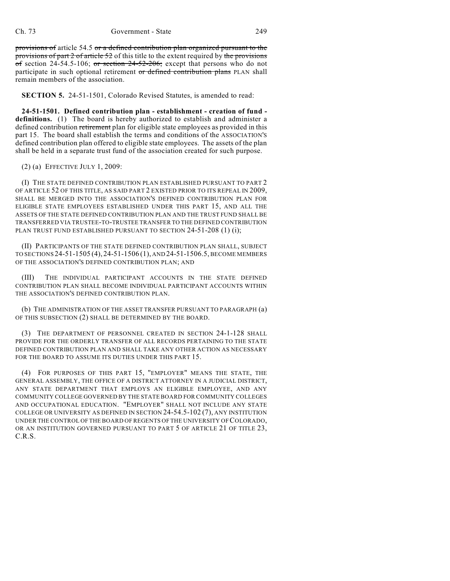provisions of article 54.5 or a defined contribution plan organized pursuant to the provisions of part 2 of article 52 of this title to the extent required by the provisions of section 24-54.5-106; or section  $24-52-206$ ; except that persons who do not participate in such optional retirement or defined contribution plans PLAN shall remain members of the association.

**SECTION 5.** 24-51-1501, Colorado Revised Statutes, is amended to read:

**24-51-1501. Defined contribution plan - establishment - creation of fund definitions.** (1) The board is hereby authorized to establish and administer a defined contribution retirement plan for eligible state employees as provided in this part 15. The board shall establish the terms and conditions of the ASSOCIATION'S defined contribution plan offered to eligible state employees. The assets of the plan shall be held in a separate trust fund of the association created for such purpose.

(2) (a) EFFECTIVE JULY 1, 2009:

(I) THE STATE DEFINED CONTRIBUTION PLAN ESTABLISHED PURSUANT TO PART 2 OF ARTICLE 52 OF THIS TITLE, AS SAID PART 2 EXISTED PRIOR TO ITS REPEAL IN 2009, SHALL BE MERGED INTO THE ASSOCIATION'S DEFINED CONTRIBUTION PLAN FOR ELIGIBLE STATE EMPLOYEES ESTABLISHED UNDER THIS PART 15, AND ALL THE ASSETS OF THE STATE DEFINED CONTRIBUTION PLAN AND THE TRUST FUND SHALL BE TRANSFERRED VIA TRUSTEE-TO-TRUSTEE TRANSFER TO THE DEFINED CONTRIBUTION PLAN TRUST FUND ESTABLISHED PURSUANT TO SECTION 24-51-208 (1) (i);

(II) PARTICIPANTS OF THE STATE DEFINED CONTRIBUTION PLAN SHALL, SUBJECT TO SECTIONS 24-51-1505 (4), 24-51-1506 (1), AND 24-51-1506.5, BECOME MEMBERS OF THE ASSOCIATION'S DEFINED CONTRIBUTION PLAN; AND

(III) THE INDIVIDUAL PARTICIPANT ACCOUNTS IN THE STATE DEFINED CONTRIBUTION PLAN SHALL BECOME INDIVIDUAL PARTICIPANT ACCOUNTS WITHIN THE ASSOCIATION'S DEFINED CONTRIBUTION PLAN.

(b) THE ADMINISTRATION OF THE ASSET TRANSFER PURSUANT TO PARAGRAPH (a) OF THIS SUBSECTION (2) SHALL BE DETERMINED BY THE BOARD.

(3) THE DEPARTMENT OF PERSONNEL CREATED IN SECTION 24-1-128 SHALL PROVIDE FOR THE ORDERLY TRANSFER OF ALL RECORDS PERTAINING TO THE STATE DEFINED CONTRIBUTION PLAN AND SHALL TAKE ANY OTHER ACTION AS NECESSARY FOR THE BOARD TO ASSUME ITS DUTIES UNDER THIS PART 15.

(4) FOR PURPOSES OF THIS PART 15, "EMPLOYER" MEANS THE STATE, THE GENERAL ASSEMBLY, THE OFFICE OF A DISTRICT ATTORNEY IN A JUDICIAL DISTRICT, ANY STATE DEPARTMENT THAT EMPLOYS AN ELIGIBLE EMPLOYEE, AND ANY COMMUNITY COLLEGE GOVERNED BY THE STATE BOARD FOR COMMUNITY COLLEGES AND OCCUPATIONAL EDUCATION. "EMPLOYER" SHALL NOT INCLUDE ANY STATE COLLEGE OR UNIVERSITY AS DEFINED IN SECTION 24-54.5-102 (7), ANY INSTITUTION UNDER THE CONTROL OF THE BOARD OF REGENTS OF THE UNIVERSITY OF COLORADO, OR AN INSTITUTION GOVERNED PURSUANT TO PART 5 OF ARTICLE 21 OF TITLE 23, C.R.S.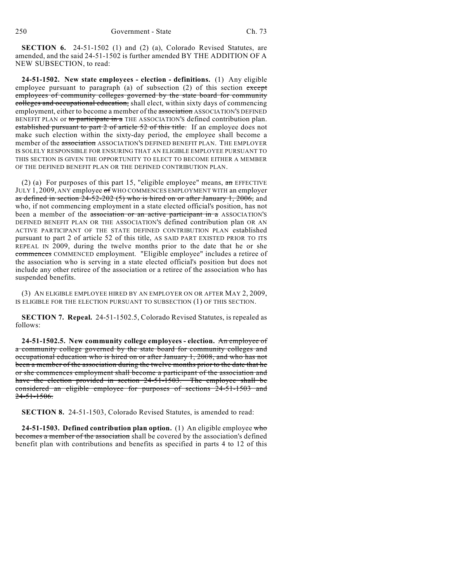**SECTION 6.** 24-51-1502 (1) and (2) (a), Colorado Revised Statutes, are amended, and the said 24-51-1502 is further amended BY THE ADDITION OF A NEW SUBSECTION, to read:

**24-51-1502. New state employees - election - definitions.** (1) Any eligible employee pursuant to paragraph (a) of subsection  $(2)$  of this section except employees of community colleges governed by the state board for community colleges and occupational education, shall elect, within sixty days of commencing employment, either to become a member of the association ASSOCIATION'S DEFINED BENEFIT PLAN or to participate in a THE ASSOCIATION'S defined contribution plan. established pursuant to part 2 of article 52 of this title. If an employee does not make such election within the sixty-day period, the employee shall become a member of the association ASSOCIATION'S DEFINED BENEFIT PLAN. THE EMPLOYER IS SOLELY RESPONSIBLE FOR ENSURING THAT AN ELIGIBLE EMPLOYEE PURSUANT TO THIS SECTION IS GIVEN THE OPPORTUNITY TO ELECT TO BECOME EITHER A MEMBER OF THE DEFINED BENEFIT PLAN OR THE DEFINED CONTRIBUTION PLAN.

(2) (a) For purposes of this part 15, "eligible employee" means,  $\mathbf{a}$  mere EFFECTIVE JULY 1, 2009, ANY employee of WHO COMMENCES EMPLOYMENT WITH an employer as defined in section  $24-52-202$  (5) who is hired on or after January 1, 2006, and who, if not commencing employment in a state elected official's position, has not been a member of the association or an active participant in a ASSOCIATION'S DEFINED BENEFIT PLAN OR THE ASSOCIATION'S defined contribution plan OR AN ACTIVE PARTICIPANT OF THE STATE DEFINED CONTRIBUTION PLAN established pursuant to part 2 of article 52 of this title, AS SAID PART EXISTED PRIOR TO ITS REPEAL IN 2009, during the twelve months prior to the date that he or she commences COMMENCED employment. "Eligible employee" includes a retiree of the association who is serving in a state elected official's position but does not include any other retiree of the association or a retiree of the association who has suspended benefits.

(3) AN ELIGIBLE EMPLOYEE HIRED BY AN EMPLOYER ON OR AFTER MAY 2, 2009, IS ELIGIBLE FOR THE ELECTION PURSUANT TO SUBSECTION (1) OF THIS SECTION.

**SECTION 7. Repeal.** 24-51-1502.5, Colorado Revised Statutes, is repealed as follows:

**24-51-1502.5. New community college employees - election.** An employee of a community college governed by the state board for community colleges and occupational education who is hired on or after January 1, 2008, and who has not been a member of the association during the twelve months prior to the date that he or she commences employment shall become a participant of the association and have the election provided in section 24-51-1503. The employee shall be considered an eligible employee for purposes of sections 24-51-1503 and 24-51-1506.

**SECTION 8.** 24-51-1503, Colorado Revised Statutes, is amended to read:

**24-51-1503. Defined contribution plan option.** (1) An eligible employee who becomes a member of the association shall be covered by the association's defined benefit plan with contributions and benefits as specified in parts 4 to 12 of this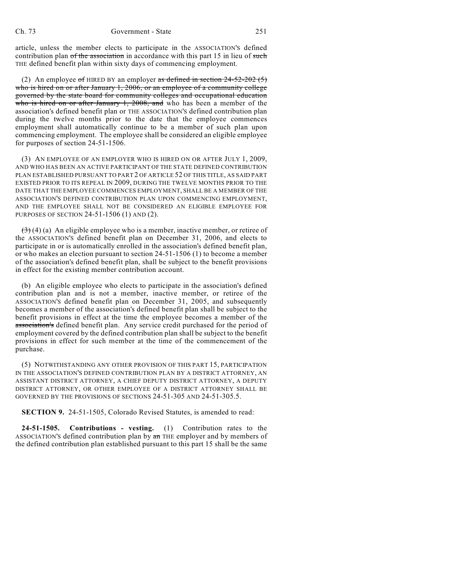article, unless the member elects to participate in the ASSOCIATION'S defined contribution plan of the association in accordance with this part 15 in lieu of such THE defined benefit plan within sixty days of commencing employment.

(2) An employee of HIRED BY an employer as defined in section  $24-52-202(5)$ who is hired on or after January 1, 2006, or an employee of a community college governed by the state board for community colleges and occupational education who is hired on or after January 1, 2008, and who has been a member of the association's defined benefit plan or THE ASSOCIATION'S defined contribution plan during the twelve months prior to the date that the employee commences employment shall automatically continue to be a member of such plan upon commencing employment. The employee shall be considered an eligible employee for purposes of section 24-51-1506.

(3) AN EMPLOYEE OF AN EMPLOYER WHO IS HIRED ON OR AFTER JULY 1, 2009, AND WHO HAS BEEN AN ACTIVE PARTICIPANT OF THE STATE DEFINED CONTRIBUTION PLAN ESTABLISHED PURSUANT TO PART 2 OF ARTICLE 52 OF THIS TITLE, AS SAID PART EXISTED PRIOR TO ITS REPEAL IN 2009, DURING THE TWELVE MONTHS PRIOR TO THE DATE THAT THE EMPLOYEE COMMENCES EMPLOYMENT, SHALL BE A MEMBER OF THE ASSOCIATION'S DEFINED CONTRIBUTION PLAN UPON COMMENCING EMPLOYMENT, AND THE EMPLOYEE SHALL NOT BE CONSIDERED AN ELIGIBLE EMPLOYEE FOR PURPOSES OF SECTION 24-51-1506 (1) AND (2).

 $(3)$  (4) (a) An eligible employee who is a member, inactive member, or retiree of the ASSOCIATION'S defined benefit plan on December 31, 2006, and elects to participate in or is automatically enrolled in the association's defined benefit plan, or who makes an election pursuant to section 24-51-1506 (1) to become a member of the association's defined benefit plan, shall be subject to the benefit provisions in effect for the existing member contribution account.

(b) An eligible employee who elects to participate in the association's defined contribution plan and is not a member, inactive member, or retiree of the ASSOCIATION'S defined benefit plan on December 31, 2005, and subsequently becomes a member of the association's defined benefit plan shall be subject to the benefit provisions in effect at the time the employee becomes a member of the association's defined benefit plan. Any service credit purchased for the period of employment covered by the defined contribution plan shall be subject to the benefit provisions in effect for such member at the time of the commencement of the purchase.

(5) NOTWITHSTANDING ANY OTHER PROVISION OF THIS PART 15, PARTICIPATION IN THE ASSOCIATION'S DEFINED CONTRIBUTION PLAN BY A DISTRICT ATTORNEY, AN ASSISTANT DISTRICT ATTORNEY, A CHIEF DEPUTY DISTRICT ATTORNEY, A DEPUTY DISTRICT ATTORNEY, OR OTHER EMPLOYEE OF A DISTRICT ATTORNEY SHALL BE GOVERNED BY THE PROVISIONS OF SECTIONS 24-51-305 AND 24-51-305.5.

**SECTION 9.** 24-51-1505, Colorado Revised Statutes, is amended to read:

**24-51-1505. Contributions - vesting.** (1) Contribution rates to the ASSOCIATION'S defined contribution plan by  $\pi$  THE employer and by members of the defined contribution plan established pursuant to this part 15 shall be the same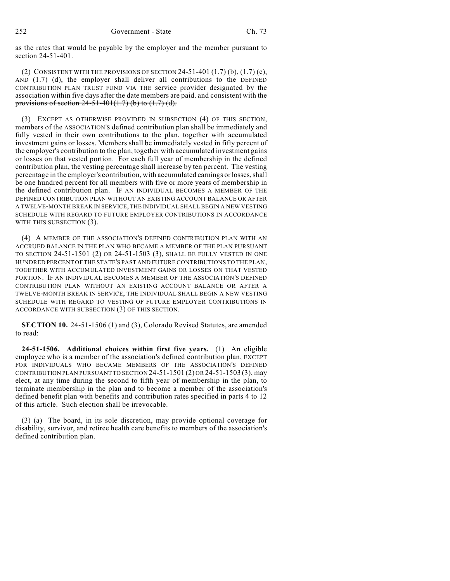as the rates that would be payable by the employer and the member pursuant to section 24-51-401.

(2) CONSISTENT WITH THE PROVISIONS OF SECTION  $24-51-401(1.7)$  (b),  $(1.7)$  (c), AND (1.7) (d), the employer shall deliver all contributions to the DEFINED CONTRIBUTION PLAN TRUST FUND VIA THE service provider designated by the association within five days after the date members are paid. and consistent with the provisions of section  $24-51-401(1.7)$  (b) to  $(1.7)$  (d).

(3) EXCEPT AS OTHERWISE PROVIDED IN SUBSECTION (4) OF THIS SECTION, members of the ASSOCIATION'S defined contribution plan shall be immediately and fully vested in their own contributions to the plan, together with accumulated investment gains or losses. Members shall be immediately vested in fifty percent of the employer's contribution to the plan, together with accumulated investment gains or losses on that vested portion. For each full year of membership in the defined contribution plan, the vesting percentage shall increase by ten percent. The vesting percentage in the employer's contribution, with accumulated earnings or losses, shall be one hundred percent for all members with five or more years of membership in the defined contribution plan. IF AN INDIVIDUAL BECOMES A MEMBER OF THE DEFINED CONTRIBUTION PLAN WITHOUT AN EXISTING ACCOUNT BALANCE OR AFTER A TWELVE-MONTH BREAK IN SERVICE, THE INDIVIDUAL SHALL BEGIN A NEW VESTING SCHEDULE WITH REGARD TO FUTURE EMPLOYER CONTRIBUTIONS IN ACCORDANCE WITH THIS SUBSECTION (3).

(4) A MEMBER OF THE ASSOCIATION'S DEFINED CONTRIBUTION PLAN WITH AN ACCRUED BALANCE IN THE PLAN WHO BECAME A MEMBER OF THE PLAN PURSUANT TO SECTION 24-51-1501 (2) OR 24-51-1503 (3), SHALL BE FULLY VESTED IN ONE HUNDRED PERCENT OFTHE STATE'S PAST AND FUTURE CONTRIBUTIONS TO THE PLAN, TOGETHER WITH ACCUMULATED INVESTMENT GAINS OR LOSSES ON THAT VESTED PORTION. IF AN INDIVIDUAL BECOMES A MEMBER OF THE ASSOCIATION'S DEFINED CONTRIBUTION PLAN WITHOUT AN EXISTING ACCOUNT BALANCE OR AFTER A TWELVE-MONTH BREAK IN SERVICE, THE INDIVIDUAL SHALL BEGIN A NEW VESTING SCHEDULE WITH REGARD TO VESTING OF FUTURE EMPLOYER CONTRIBUTIONS IN ACCORDANCE WITH SUBSECTION (3) OF THIS SECTION.

**SECTION 10.** 24-51-1506 (1) and (3), Colorado Revised Statutes, are amended to read:

**24-51-1506. Additional choices within first five years.** (1) An eligible employee who is a member of the association's defined contribution plan, EXCEPT FOR INDIVIDUALS WHO BECAME MEMBERS OF THE ASSOCIATION'S DEFINED CONTRIBUTION PLAN PURSUANT TO SECTION  $24-51-1501$  (2) OR  $24-51-1503$  (3), may elect, at any time during the second to fifth year of membership in the plan, to terminate membership in the plan and to become a member of the association's defined benefit plan with benefits and contribution rates specified in parts 4 to 12 of this article. Such election shall be irrevocable.

(3)  $(a)$  The board, in its sole discretion, may provide optional coverage for disability, survivor, and retiree health care benefits to members of the association's defined contribution plan.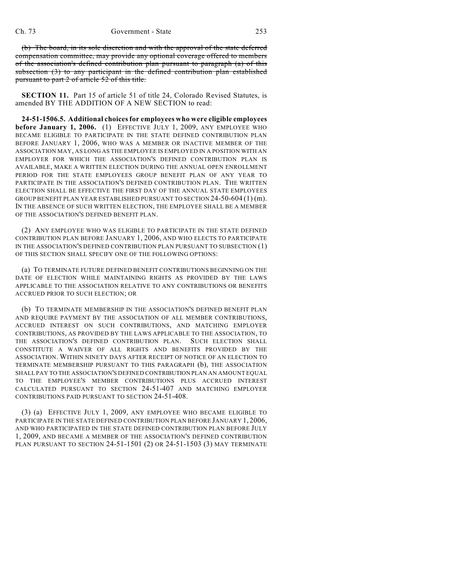(b) The board, in its sole discretion and with the approval of the state deferred compensation committee, may provide any optional coverage offered to members of the association's defined contribution plan pursuant to paragraph (a) of this subsection (3) to any participant in the defined contribution plan established pursuant to part 2 of article 52 of this title.

**SECTION 11.** Part 15 of article 51 of title 24, Colorado Revised Statutes, is amended BY THE ADDITION OF A NEW SECTION to read:

**24-51-1506.5. Additional choices for employees who were eligible employees before January 1, 2006.** (1) EFFECTIVE JULY 1, 2009, ANY EMPLOYEE WHO BECAME ELIGIBLE TO PARTICIPATE IN THE STATE DEFINED CONTRIBUTION PLAN BEFORE JANUARY 1, 2006, WHO WAS A MEMBER OR INACTIVE MEMBER OF THE ASSOCIATION MAY, AS LONG AS THE EMPLOYEE IS EMPLOYED IN A POSITION WITH AN EMPLOYER FOR WHICH THE ASSOCIATION'S DEFINED CONTRIBUTION PLAN IS AVAILABLE, MAKE A WRITTEN ELECTION DURING THE ANNUAL OPEN ENROLLMENT PERIOD FOR THE STATE EMPLOYEES GROUP BENEFIT PLAN OF ANY YEAR TO PARTICIPATE IN THE ASSOCIATION'S DEFINED CONTRIBUTION PLAN. THE WRITTEN ELECTION SHALL BE EFFECTIVE THE FIRST DAY OF THE ANNUAL STATE EMPLOYEES GROUP BENEFIT PLAN YEAR ESTABLISHED PURSUANT TO SECTION 24-50-604 (1) (m). IN THE ABSENCE OF SUCH WRITTEN ELECTION, THE EMPLOYEE SHALL BE A MEMBER OF THE ASSOCIATION'S DEFINED BENEFIT PLAN.

(2) ANY EMPLOYEE WHO WAS ELIGIBLE TO PARTICIPATE IN THE STATE DEFINED CONTRIBUTION PLAN BEFORE JANUARY 1, 2006, AND WHO ELECTS TO PARTICIPATE IN THE ASSOCIATION'S DEFINED CONTRIBUTION PLAN PURSUANT TO SUBSECTION (1) OF THIS SECTION SHALL SPECIFY ONE OF THE FOLLOWING OPTIONS:

(a) TO TERMINATE FUTURE DEFINED BENEFIT CONTRIBUTIONS BEGINNING ON THE DATE OF ELECTION WHILE MAINTAINING RIGHTS AS PROVIDED BY THE LAWS APPLICABLE TO THE ASSOCIATION RELATIVE TO ANY CONTRIBUTIONS OR BENEFITS ACCRUED PRIOR TO SUCH ELECTION; OR

(b) TO TERMINATE MEMBERSHIP IN THE ASSOCIATION'S DEFINED BENEFIT PLAN AND REQUIRE PAYMENT BY THE ASSOCIATION OF ALL MEMBER CONTRIBUTIONS, ACCRUED INTEREST ON SUCH CONTRIBUTIONS, AND MATCHING EMPLOYER CONTRIBUTIONS, AS PROVIDED BY THE LAWS APPLICABLE TO THE ASSOCIATION, TO THE ASSOCIATION'S DEFINED CONTRIBUTION PLAN. SUCH ELECTION SHALL CONSTITUTE A WAIVER OF ALL RIGHTS AND BENEFITS PROVIDED BY THE ASSOCIATION. WITHIN NINETY DAYS AFTER RECEIPT OF NOTICE OF AN ELECTION TO TERMINATE MEMBERSHIP PURSUANT TO THIS PARAGRAPH (b), THE ASSOCIATION SHALL PAY TO THE ASSOCIATION'S DEFINED CONTRIBUTION PLAN AN AMOUNT EQUAL TO THE EMPLOYEE'S MEMBER CONTRIBUTIONS PLUS ACCRUED INTEREST CALCULATED PURSUANT TO SECTION 24-51-407 AND MATCHING EMPLOYER CONTRIBUTIONS PAID PURSUANT TO SECTION 24-51-408.

(3) (a) EFFECTIVE JULY 1, 2009, ANY EMPLOYEE WHO BECAME ELIGIBLE TO PARTICIPATE IN THE STATE DEFINED CONTRIBUTION PLAN BEFORE JANUARY 1, 2006, AND WHO PARTICIPATED IN THE STATE DEFINED CONTRIBUTION PLAN BEFORE JULY 1, 2009, AND BECAME A MEMBER OF THE ASSOCIATION'S DEFINED CONTRIBUTION PLAN PURSUANT TO SECTION 24-51-1501 (2) OR 24-51-1503 (3) MAY TERMINATE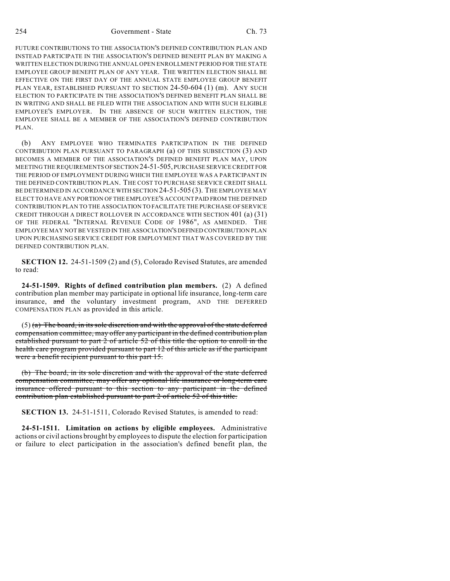FUTURE CONTRIBUTIONS TO THE ASSOCIATION'S DEFINED CONTRIBUTION PLAN AND INSTEAD PARTICIPATE IN THE ASSOCIATION'S DEFINED BENEFIT PLAN BY MAKING A WRITTEN ELECTION DURING THE ANNUAL OPEN ENROLLMENT PERIOD FOR THE STATE EMPLOYEE GROUP BENEFIT PLAN OF ANY YEAR. THE WRITTEN ELECTION SHALL BE EFFECTIVE ON THE FIRST DAY OF THE ANNUAL STATE EMPLOYEE GROUP BENEFIT PLAN YEAR, ESTABLISHED PURSUANT TO SECTION 24-50-604 (1) (m). ANY SUCH ELECTION TO PARTICIPATE IN THE ASSOCIATION'S DEFINED BENEFIT PLAN SHALL BE IN WRITING AND SHALL BE FILED WITH THE ASSOCIATION AND WITH SUCH ELIGIBLE EMPLOYEE'S EMPLOYER. IN THE ABSENCE OF SUCH WRITTEN ELECTION, THE EMPLOYEE SHALL BE A MEMBER OF THE ASSOCIATION'S DEFINED CONTRIBUTION PLAN.

(b) ANY EMPLOYEE WHO TERMINATES PARTICIPATION IN THE DEFINED CONTRIBUTION PLAN PURSUANT TO PARAGRAPH (a) OF THIS SUBSECTION (3) AND BECOMES A MEMBER OF THE ASSOCIATION'S DEFINED BENEFIT PLAN MAY, UPON MEETING THE REQUIREMENTS OF SECTION 24-51-505, PURCHASE SERVICE CREDIT FOR THE PERIOD OF EMPLOYMENT DURING WHICH THE EMPLOYEE WAS A PARTICIPANT IN THE DEFINED CONTRIBUTION PLAN. THE COST TO PURCHASE SERVICE CREDIT SHALL BE DETERMINED IN ACCORDANCE WITH SECTION 24-51-505 (3). THE EMPLOYEE MAY ELECT TO HAVE ANY PORTION OF THE EMPLOYEE'S ACCOUNT PAID FROM THE DEFINED CONTRIBUTION PLAN TO THE ASSOCIATION TO FACILITATE THE PURCHASE OF SERVICE CREDIT THROUGH A DIRECT ROLLOVER IN ACCORDANCE WITH SECTION 401 (a) (31) OF THE FEDERAL "INTERNAL REVENUE CODE OF 1986", AS AMENDED. THE EMPLOYEE MAY NOT BE VESTED IN THE ASSOCIATION'S DEFINED CONTRIBUTION PLAN UPON PURCHASING SERVICE CREDIT FOR EMPLOYMENT THAT WAS COVERED BY THE DEFINED CONTRIBUTION PLAN.

**SECTION 12.** 24-51-1509 (2) and (5), Colorado Revised Statutes, are amended to read:

**24-51-1509. Rights of defined contribution plan members.** (2) A defined contribution plan member may participate in optional life insurance, long-term care insurance, and the voluntary investment program, AND THE DEFERRED COMPENSATION PLAN as provided in this article.

 $(5)$  (a) The board, in its sole discretion and with the approval of the state deferred compensation committee, may offer any participant in the defined contribution plan established pursuant to part 2 of article 52 of this title the option to enroll in the health care program provided pursuant to part 12 of this article as if the participant were a benefit recipient pursuant to this part 15.

(b) The board, in its sole discretion and with the approval of the state deferred compensation committee, may offer any optional life insurance or long-term care insurance offered pursuant to this section to any participant in the defined contribution plan established pursuant to part 2 of article 52 of this title.

**SECTION 13.** 24-51-1511, Colorado Revised Statutes, is amended to read:

**24-51-1511. Limitation on actions by eligible employees.** Administrative actions or civil actions brought by employees to dispute the election for participation or failure to elect participation in the association's defined benefit plan, the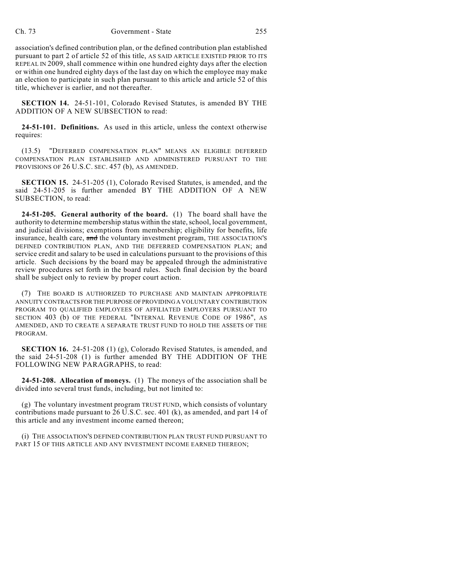association's defined contribution plan, or the defined contribution plan established pursuant to part 2 of article 52 of this title, AS SAID ARTICLE EXISTED PRIOR TO ITS REPEAL IN 2009, shall commence within one hundred eighty days after the election or within one hundred eighty days of the last day on which the employee may make an election to participate in such plan pursuant to this article and article 52 of this title, whichever is earlier, and not thereafter.

**SECTION 14.** 24-51-101, Colorado Revised Statutes, is amended BY THE ADDITION OF A NEW SUBSECTION to read:

**24-51-101. Definitions.** As used in this article, unless the context otherwise requires:

(13.5) "DEFERRED COMPENSATION PLAN" MEANS AN ELIGIBLE DEFERRED COMPENSATION PLAN ESTABLISHED AND ADMINISTERED PURSUANT TO THE PROVISIONS OF 26 U.S.C. SEC. 457 (b), AS AMENDED.

**SECTION 15.** 24-51-205 (1), Colorado Revised Statutes, is amended, and the said 24-51-205 is further amended BY THE ADDITION OF A NEW SUBSECTION, to read:

**24-51-205. General authority of the board.** (1) The board shall have the authority to determine membership status within the state, school, local government, and judicial divisions; exemptions from membership; eligibility for benefits, life insurance, health care, and the voluntary investment program, THE ASSOCIATION'S DEFINED CONTRIBUTION PLAN, AND THE DEFERRED COMPENSATION PLAN; and service credit and salary to be used in calculations pursuant to the provisions of this article. Such decisions by the board may be appealed through the administrative review procedures set forth in the board rules. Such final decision by the board shall be subject only to review by proper court action.

(7) THE BOARD IS AUTHORIZED TO PURCHASE AND MAINTAIN APPROPRIATE ANNUITY CONTRACTS FOR THE PURPOSE OF PROVIDING A VOLUNTARY CONTRIBUTION PROGRAM TO QUALIFIED EMPLOYEES OF AFFILIATED EMPLOYERS PURSUANT TO SECTION 403 (b) OF THE FEDERAL "INTERNAL REVENUE CODE OF 1986", AS AMENDED, AND TO CREATE A SEPARATE TRUST FUND TO HOLD THE ASSETS OF THE PROGRAM.

**SECTION 16.** 24-51-208 (1) (g), Colorado Revised Statutes, is amended, and the said 24-51-208 (1) is further amended BY THE ADDITION OF THE FOLLOWING NEW PARAGRAPHS, to read:

**24-51-208. Allocation of moneys.** (1) The moneys of the association shall be divided into several trust funds, including, but not limited to:

(g) The voluntary investment program TRUST FUND, which consists of voluntary contributions made pursuant to 26 U.S.C. sec. 401 (k), as amended, and part 14 of this article and any investment income earned thereon;

(i) THE ASSOCIATION'S DEFINED CONTRIBUTION PLAN TRUST FUND PURSUANT TO PART 15 OF THIS ARTICLE AND ANY INVESTMENT INCOME EARNED THEREON;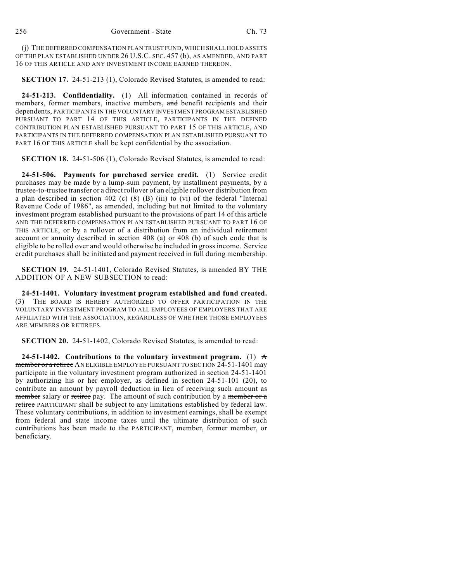(j) THE DEFERRED COMPENSATION PLAN TRUST FUND, WHICH SHALL HOLD ASSETS OF THE PLAN ESTABLISHED UNDER 26 U.S.C. SEC. 457 (b), AS AMENDED, AND PART 16 OF THIS ARTICLE AND ANY INVESTMENT INCOME EARNED THEREON.

**SECTION 17.** 24-51-213 (1), Colorado Revised Statutes, is amended to read:

**24-51-213. Confidentiality.** (1) All information contained in records of members, former members, inactive members, and benefit recipients and their dependents, PARTICIPANTS IN THE VOLUNTARY INVESTMENT PROGRAM ESTABLISHED PURSUANT TO PART 14 OF THIS ARTICLE, PARTICIPANTS IN THE DEFINED CONTRIBUTION PLAN ESTABLISHED PURSUANT TO PART 15 OF THIS ARTICLE, AND PARTICIPANTS IN THE DEFERRED COMPENSATION PLAN ESTABLISHED PURSUANT TO PART 16 OF THIS ARTICLE shall be kept confidential by the association.

**SECTION 18.** 24-51-506 (1), Colorado Revised Statutes, is amended to read:

**24-51-506. Payments for purchased service credit.** (1) Service credit purchases may be made by a lump-sum payment, by installment payments, by a trustee-to-trustee transfer or a directrollover of an eligible rollover distribution from a plan described in section 402 (c) (8) (B) (iii) to (vi) of the federal "Internal Revenue Code of 1986", as amended, including but not limited to the voluntary investment program established pursuant to the provisions of part 14 of this article AND THE DEFERRED COMPENSATION PLAN ESTABLISHED PURSUANT TO PART 16 OF THIS ARTICLE, or by a rollover of a distribution from an individual retirement account or annuity described in section 408 (a) or 408 (b) of such code that is eligible to be rolled over and would otherwise be included in gross income. Service credit purchases shall be initiated and payment received in full during membership.

**SECTION 19.** 24-51-1401, Colorado Revised Statutes, is amended BY THE ADDITION OF A NEW SUBSECTION to read:

**24-51-1401. Voluntary investment program established and fund created.** (3) THE BOARD IS HEREBY AUTHORIZED TO OFFER PARTICIPATION IN THE VOLUNTARY INVESTMENT PROGRAM TO ALL EMPLOYEES OF EMPLOYERS THAT ARE AFFILIATED WITH THE ASSOCIATION, REGARDLESS OF WHETHER THOSE EMPLOYEES ARE MEMBERS OR RETIREES.

**SECTION 20.** 24-51-1402, Colorado Revised Statutes, is amended to read:

**24-51-1402.** Contributions to the voluntary investment program. (1)  $\pm$ member or a retiree AN ELIGIBLE EMPLOYEE PURSUANT TO SECTION 24-51-1401 may participate in the voluntary investment program authorized in section 24-51-1401 by authorizing his or her employer, as defined in section 24-51-101 (20), to contribute an amount by payroll deduction in lieu of receiving such amount as member salary or retiree pay. The amount of such contribution by a member or a retiree PARTICIPANT shall be subject to any limitations established by federal law. These voluntary contributions, in addition to investment earnings, shall be exempt from federal and state income taxes until the ultimate distribution of such contributions has been made to the PARTICIPANT, member, former member, or beneficiary.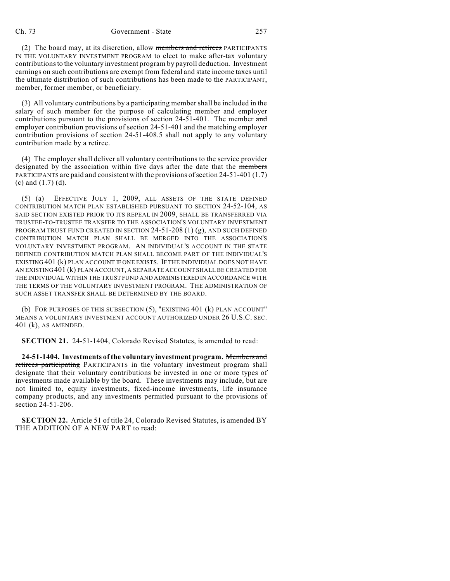(2) The board may, at its discretion, allow members and retirees PARTICIPANTS IN THE VOLUNTARY INVESTMENT PROGRAM to elect to make after-tax voluntary contributions to the voluntary investment program by payroll deduction. Investment earnings on such contributions are exempt from federal and state income taxes until the ultimate distribution of such contributions has been made to the PARTICIPANT, member, former member, or beneficiary.

(3) All voluntary contributions by a participating member shall be included in the salary of such member for the purpose of calculating member and employer contributions pursuant to the provisions of section 24-51-401. The member and employer contribution provisions of section 24-51-401 and the matching employer contribution provisions of section 24-51-408.5 shall not apply to any voluntary contribution made by a retiree.

(4) The employer shall deliver all voluntary contributions to the service provider designated by the association within five days after the date that the members PARTICIPANTS are paid and consistent with the provisions of section 24-51-401 (1.7) (c) and (1.7) (d).

(5) (a) EFFECTIVE JULY 1, 2009, ALL ASSETS OF THE STATE DEFINED CONTRIBUTION MATCH PLAN ESTABLISHED PURSUANT TO SECTION 24-52-104, AS SAID SECTION EXISTED PRIOR TO ITS REPEAL IN 2009, SHALL BE TRANSFERRED VIA TRUSTEE-TO-TRUSTEE TRANSFER TO THE ASSOCIATION'S VOLUNTARY INVESTMENT PROGRAM TRUST FUND CREATED IN SECTION  $24-51-208(1)(g)$ , AND SUCH DEFINED CONTRIBUTION MATCH PLAN SHALL BE MERGED INTO THE ASSOCIATION'S VOLUNTARY INVESTMENT PROGRAM. AN INDIVIDUAL'S ACCOUNT IN THE STATE DEFINED CONTRIBUTION MATCH PLAN SHALL BECOME PART OF THE INDIVIDUAL'S EXISTING 401 (k) PLAN ACCOUNT IF ONE EXISTS. IF THE INDIVIDUAL DOES NOT HAVE AN EXISTING 401 (k) PLAN ACCOUNT, A SEPARATE ACCOUNT SHALL BE CREATED FOR THE INDIVIDUAL WITHIN THE TRUST FUND AND ADMINISTERED IN ACCORDANCE WITH THE TERMS OF THE VOLUNTARY INVESTMENT PROGRAM. THE ADMINISTRATION OF SUCH ASSET TRANSFER SHALL BE DETERMINED BY THE BOARD.

(b) FOR PURPOSES OF THIS SUBSECTION (5), "EXISTING 401 (k) PLAN ACCOUNT" MEANS A VOLUNTARY INVESTMENT ACCOUNT AUTHORIZED UNDER 26 U.S.C. SEC. 401 (k), AS AMENDED.

**SECTION 21.** 24-51-1404, Colorado Revised Statutes, is amended to read:

**24-51-1404. Investments of the voluntary investment program.** Members and retirees participating PARTICIPANTS in the voluntary investment program shall designate that their voluntary contributions be invested in one or more types of investments made available by the board. These investments may include, but are not limited to, equity investments, fixed-income investments, life insurance company products, and any investments permitted pursuant to the provisions of section 24-51-206.

**SECTION 22.** Article 51 of title 24, Colorado Revised Statutes, is amended BY THE ADDITION OF A NEW PART to read: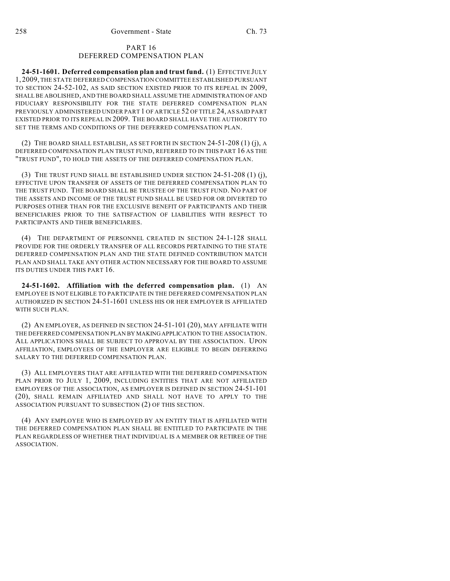## PART 16 DEFERRED COMPENSATION PLAN

**24-51-1601. Deferred compensation plan and trust fund.** (1) EFFECTIVE JULY 1, 2009, THE STATE DEFERRED COMPENSATION COMMITTEE ESTABLISHED PURSUANT TO SECTION 24-52-102, AS SAID SECTION EXISTED PRIOR TO ITS REPEAL IN 2009, SHALL BE ABOLISHED, AND THE BOARD SHALL ASSUME THE ADMINISTRATION OF AND FIDUCIARY RESPONSIBILITY FOR THE STATE DEFERRED COMPENSATION PLAN PREVIOUSLY ADMINISTERED UNDER PART 1 OF ARTICLE 52 OF TITLE 24, AS SAID PART EXISTED PRIOR TO ITS REPEAL IN 2009. THE BOARD SHALL HAVE THE AUTHORITY TO SET THE TERMS AND CONDITIONS OF THE DEFERRED COMPENSATION PLAN.

(2) THE BOARD SHALL ESTABLISH, AS SET FORTH IN SECTION 24-51-208 (1) (j), A DEFERRED COMPENSATION PLAN TRUST FUND, REFERRED TO IN THIS PART 16 AS THE "TRUST FUND", TO HOLD THE ASSETS OF THE DEFERRED COMPENSATION PLAN.

(3) THE TRUST FUND SHALL BE ESTABLISHED UNDER SECTION 24-51-208 (1) (j), EFFECTIVE UPON TRANSFER OF ASSETS OF THE DEFERRED COMPENSATION PLAN TO THE TRUST FUND. THE BOARD SHALL BE TRUSTEE OF THE TRUST FUND. NO PART OF THE ASSETS AND INCOME OF THE TRUST FUND SHALL BE USED FOR OR DIVERTED TO PURPOSES OTHER THAN FOR THE EXCLUSIVE BENEFIT OF PARTICIPANTS AND THEIR BENEFICIARIES PRIOR TO THE SATISFACTION OF LIABILITIES WITH RESPECT TO PARTICIPANTS AND THEIR BENEFICIARIES.

(4) THE DEPARTMENT OF PERSONNEL CREATED IN SECTION 24-1-128 SHALL PROVIDE FOR THE ORDERLY TRANSFER OF ALL RECORDS PERTAINING TO THE STATE DEFERRED COMPENSATION PLAN AND THE STATE DEFINED CONTRIBUTION MATCH PLAN AND SHALL TAKE ANY OTHER ACTION NECESSARY FOR THE BOARD TO ASSUME ITS DUTIES UNDER THIS PART 16.

**24-51-1602. Affiliation with the deferred compensation plan.** (1) AN EMPLOYEE IS NOT ELIGIBLE TO PARTICIPATE IN THE DEFERRED COMPENSATION PLAN AUTHORIZED IN SECTION 24-51-1601 UNLESS HIS OR HER EMPLOYER IS AFFILIATED WITH SUCH PLAN.

(2) AN EMPLOYER, AS DEFINED IN SECTION 24-51-101 (20), MAY AFFILIATE WITH THE DEFERRED COMPENSATION PLAN BY MAKING APPLICATION TO THE ASSOCIATION. ALL APPLICATIONS SHALL BE SUBJECT TO APPROVAL BY THE ASSOCIATION. UPON AFFILIATION, EMPLOYEES OF THE EMPLOYER ARE ELIGIBLE TO BEGIN DEFERRING SALARY TO THE DEFERRED COMPENSATION PLAN.

(3) ALL EMPLOYERS THAT ARE AFFILIATED WITH THE DEFERRED COMPENSATION PLAN PRIOR TO JULY 1, 2009, INCLUDING ENTITIES THAT ARE NOT AFFILIATED EMPLOYERS OF THE ASSOCIATION, AS EMPLOYER IS DEFINED IN SECTION 24-51-101 (20), SHALL REMAIN AFFILIATED AND SHALL NOT HAVE TO APPLY TO THE ASSOCIATION PURSUANT TO SUBSECTION (2) OF THIS SECTION.

(4) ANY EMPLOYEE WHO IS EMPLOYED BY AN ENTITY THAT IS AFFILIATED WITH THE DEFERRED COMPENSATION PLAN SHALL BE ENTITLED TO PARTICIPATE IN THE PLAN REGARDLESS OF WHETHER THAT INDIVIDUAL IS A MEMBER OR RETIREE OF THE ASSOCIATION.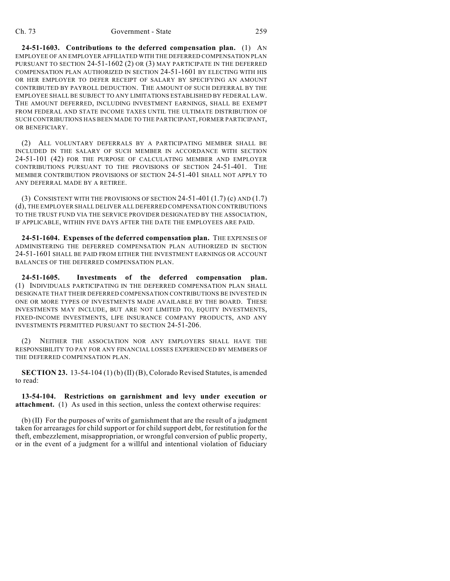**24-51-1603. Contributions to the deferred compensation plan.** (1) AN EMPLOYEE OF AN EMPLOYER AFFILIATED WITH THE DEFERRED COMPENSATION PLAN PURSUANT TO SECTION 24-51-1602 (2) OR (3) MAY PARTICIPATE IN THE DEFERRED COMPENSATION PLAN AUTHORIZED IN SECTION 24-51-1601 BY ELECTING WITH HIS OR HER EMPLOYER TO DEFER RECEIPT OF SALARY BY SPECIFYING AN AMOUNT CONTRIBUTED BY PAYROLL DEDUCTION. THE AMOUNT OF SUCH DEFERRAL BY THE EMPLOYEE SHALL BE SUBJECT TO ANY LIMITATIONS ESTABLISHED BY FEDERAL LAW. THE AMOUNT DEFERRED, INCLUDING INVESTMENT EARNINGS, SHALL BE EXEMPT FROM FEDERAL AND STATE INCOME TAXES UNTIL THE ULTIMATE DISTRIBUTION OF SUCH CONTRIBUTIONS HAS BEEN MADE TO THE PARTICIPANT, FORMER PARTICIPANT, OR BENEFICIARY.

(2) ALL VOLUNTARY DEFERRALS BY A PARTICIPATING MEMBER SHALL BE INCLUDED IN THE SALARY OF SUCH MEMBER IN ACCORDANCE WITH SECTION 24-51-101 (42) FOR THE PURPOSE OF CALCULATING MEMBER AND EMPLOYER CONTRIBUTIONS PURSUANT TO THE PROVISIONS OF SECTION 24-51-401. THE MEMBER CONTRIBUTION PROVISIONS OF SECTION 24-51-401 SHALL NOT APPLY TO ANY DEFERRAL MADE BY A RETIREE.

(3) CONSISTENT WITH THE PROVISIONS OF SECTION  $24-51-401(1.7)$  (c) AND  $(1.7)$ (d), THE EMPLOYER SHALL DELIVER ALL DEFERRED COMPENSATION CONTRIBUTIONS TO THE TRUST FUND VIA THE SERVICE PROVIDER DESIGNATED BY THE ASSOCIATION, IF APPLICABLE, WITHIN FIVE DAYS AFTER THE DATE THE EMPLOYEES ARE PAID.

**24-51-1604. Expenses of the deferred compensation plan.** THE EXPENSES OF ADMINISTERING THE DEFERRED COMPENSATION PLAN AUTHORIZED IN SECTION 24-51-1601 SHALL BE PAID FROM EITHER THE INVESTMENT EARNINGS OR ACCOUNT BALANCES OF THE DEFERRED COMPENSATION PLAN.

**24-51-1605. Investments of the deferred compensation plan.** (1) INDIVIDUALS PARTICIPATING IN THE DEFERRED COMPENSATION PLAN SHALL DESIGNATE THAT THEIR DEFERRED COMPENSATION CONTRIBUTIONS BE INVESTED IN ONE OR MORE TYPES OF INVESTMENTS MADE AVAILABLE BY THE BOARD. THESE INVESTMENTS MAY INCLUDE, BUT ARE NOT LIMITED TO, EQUITY INVESTMENTS, FIXED-INCOME INVESTMENTS, LIFE INSURANCE COMPANY PRODUCTS, AND ANY INVESTMENTS PERMITTED PURSUANT TO SECTION 24-51-206.

(2) NEITHER THE ASSOCIATION NOR ANY EMPLOYERS SHALL HAVE THE RESPONSIBILITY TO PAY FOR ANY FINANCIAL LOSSES EXPERIENCED BY MEMBERS OF THE DEFERRED COMPENSATION PLAN.

**SECTION 23.** 13-54-104 (1) (b) (II) (B), Colorado Revised Statutes, is amended to read:

**13-54-104. Restrictions on garnishment and levy under execution or attachment.** (1) As used in this section, unless the context otherwise requires:

(b) (II) For the purposes of writs of garnishment that are the result of a judgment taken for arrearages for child support or for child support debt, for restitution for the theft, embezzlement, misappropriation, or wrongful conversion of public property, or in the event of a judgment for a willful and intentional violation of fiduciary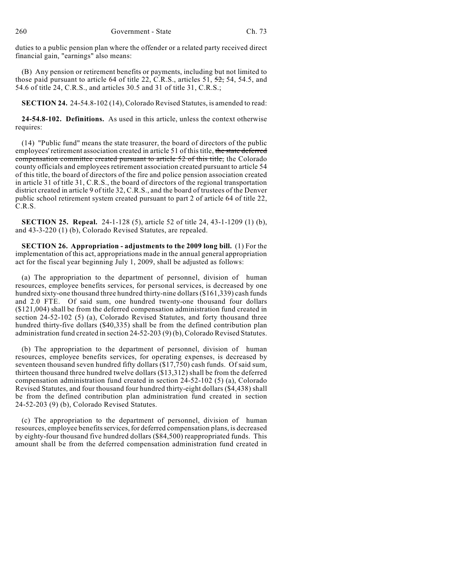duties to a public pension plan where the offender or a related party received direct financial gain, "earnings" also means:

(B) Any pension or retirement benefits or payments, including but not limited to those paid pursuant to article 64 of title 22, C.R.S., articles 51,  $\frac{52}{52}$ , 54, 54.5, and 54.6 of title 24, C.R.S., and articles 30.5 and 31 of title 31, C.R.S.;

**SECTION 24.** 24-54.8-102 (14), Colorado Revised Statutes, is amended to read:

**24-54.8-102. Definitions.** As used in this article, unless the context otherwise requires:

(14) "Public fund" means the state treasurer, the board of directors of the public employees' retirement association created in article 51 of this title, the state deferred compensation committee created pursuant to article 52 of this title, the Colorado county officials and employees retirement association created pursuant to article 54 of this title, the board of directors of the fire and police pension association created in article 31 of title 31, C.R.S., the board of directors of the regional transportation district created in article 9 of title 32, C.R.S., and the board of trustees of the Denver public school retirement system created pursuant to part 2 of article 64 of title 22, C.R.S.

**SECTION 25. Repeal.** 24-1-128 (5), article 52 of title 24, 43-1-1209 (1) (b), and 43-3-220 (1) (b), Colorado Revised Statutes, are repealed.

**SECTION 26. Appropriation - adjustments to the 2009 long bill.** (1) For the implementation of this act, appropriations made in the annual general appropriation act for the fiscal year beginning July 1, 2009, shall be adjusted as follows:

(a) The appropriation to the department of personnel, division of human resources, employee benefits services, for personal services, is decreased by one hundred sixty-one thousand three hundred thirty-nine dollars (\$161,339) cash funds and 2.0 FTE. Of said sum, one hundred twenty-one thousand four dollars (\$121,004) shall be from the deferred compensation administration fund created in section 24-52-102 (5) (a), Colorado Revised Statutes, and forty thousand three hundred thirty-five dollars (\$40,335) shall be from the defined contribution plan administration fund created in section 24-52-203 (9) (b), Colorado Revised Statutes.

(b) The appropriation to the department of personnel, division of human resources, employee benefits services, for operating expenses, is decreased by seventeen thousand seven hundred fifty dollars (\$17,750) cash funds. Of said sum, thirteen thousand three hundred twelve dollars (\$13,312) shall be from the deferred compensation administration fund created in section 24-52-102 (5) (a), Colorado Revised Statutes, and four thousand four hundred thirty-eight dollars (\$4,438) shall be from the defined contribution plan administration fund created in section 24-52-203 (9) (b), Colorado Revised Statutes.

(c) The appropriation to the department of personnel, division of human resources, employee benefits services, for deferred compensation plans, is decreased by eighty-four thousand five hundred dollars (\$84,500) reappropriated funds. This amount shall be from the deferred compensation administration fund created in